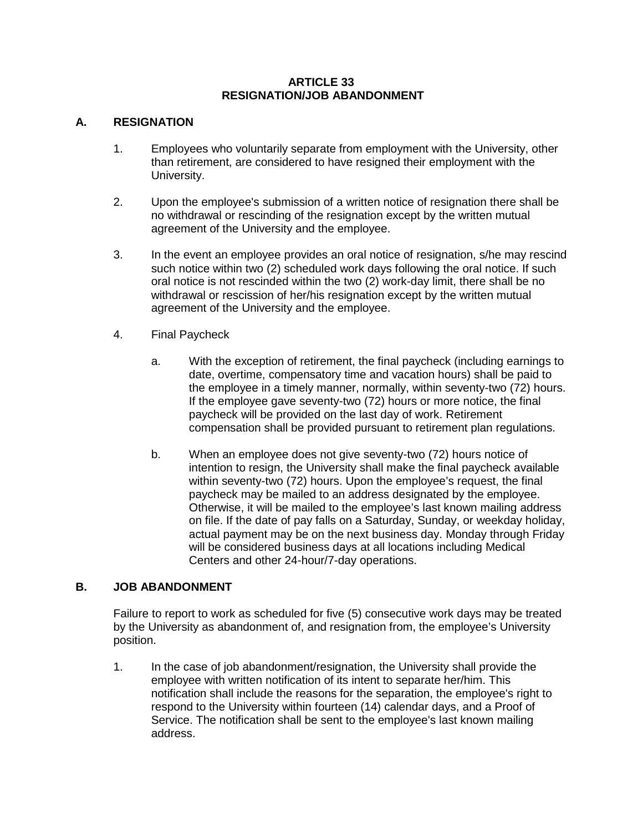## **ARTICLE 33 RESIGNATION/JOB ABANDONMENT**

## **A. RESIGNATION**

- 1. Employees who voluntarily separate from employment with the University, other than retirement, are considered to have resigned their employment with the University.
- 2. Upon the employee's submission of a written notice of resignation there shall be no withdrawal or rescinding of the resignation except by the written mutual agreement of the University and the employee.
- 3. In the event an employee provides an oral notice of resignation, s/he may rescind such notice within two (2) scheduled work days following the oral notice. If such oral notice is not rescinded within the two (2) work-day limit, there shall be no withdrawal or rescission of her/his resignation except by the written mutual agreement of the University and the employee.
- 4. Final Paycheck
	- a. With the exception of retirement, the final paycheck (including earnings to date, overtime, compensatory time and vacation hours) shall be paid to the employee in a timely manner, normally, within seventy-two (72) hours. If the employee gave seventy-two (72) hours or more notice, the final paycheck will be provided on the last day of work. Retirement compensation shall be provided pursuant to retirement plan regulations.
	- b. When an employee does not give seventy-two (72) hours notice of intention to resign, the University shall make the final paycheck available within seventy-two (72) hours. Upon the employee's request, the final paycheck may be mailed to an address designated by the employee. Otherwise, it will be mailed to the employee's last known mailing address on file. If the date of pay falls on a Saturday, Sunday, or weekday holiday, actual payment may be on the next business day. Monday through Friday will be considered business days at all locations including Medical Centers and other 24-hour/7-day operations.

## **B. JOB ABANDONMENT**

Failure to report to work as scheduled for five (5) consecutive work days may be treated by the University as abandonment of, and resignation from, the employee's University position.

1. In the case of job abandonment/resignation, the University shall provide the employee with written notification of its intent to separate her/him. This notification shall include the reasons for the separation, the employee's right to respond to the University within fourteen (14) calendar days, and a Proof of Service. The notification shall be sent to the employee's last known mailing address.